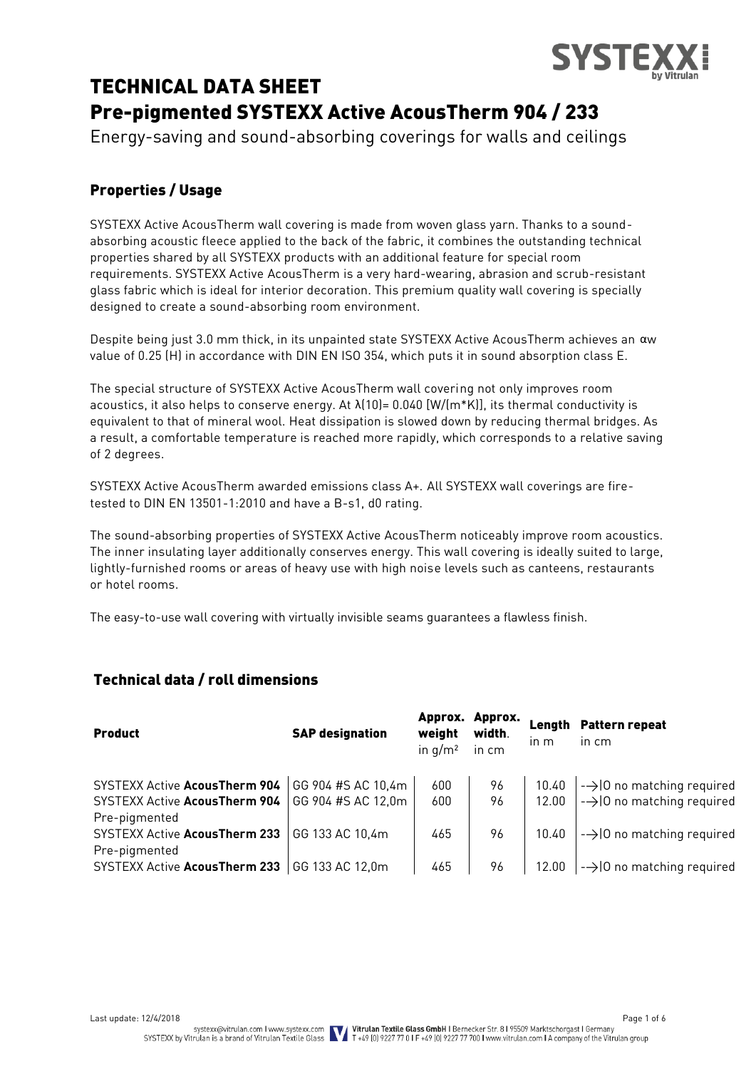

# TECHNICAL DATA SHEET Pre-pigmented SYSTEXX Active AcousTherm 904 / 233

Energy-saving and sound-absorbing coverings for walls and ceilings

# Properties / Usage

SYSTEXX Active AcousTherm wall covering is made from woven glass yarn. Thanks to a soundabsorbing acoustic fleece applied to the back of the fabric, it combines the outstanding technical properties shared by all SYSTEXX products with an additional feature for special room requirements. SYSTEXX Active AcousTherm is a very hard-wearing, abrasion and scrub-resistant glass fabric which is ideal for interior decoration. This premium quality wall covering is specially designed to create a sound-absorbing room environment.

Despite being just 3.0 mm thick, in its unpainted state SYSTEXX Active AcousTherm achieves an αw value of 0.25 (H) in accordance with DIN EN ISO 354, which puts it in sound absorption class E.

The special structure of SYSTEXX Active AcousTherm wall covering not only improves room acoustics, it also helps to conserve energy. At  $\lambda(10)=0.040$  [W/(m\*K)], its thermal conductivity is equivalent to that of mineral wool. Heat dissipation is slowed down by reducing thermal bridges. As a result, a comfortable temperature is reached more rapidly, which corresponds to a relative saving of 2 degrees.

SYSTEXX Active AcousTherm awarded emissions class A+. All SYSTEXX wall coverings are firetested to DIN EN 13501-1:2010 and have a B-s1, d0 rating.

The sound-absorbing properties of SYSTEXX Active AcousTherm noticeably improve room acoustics. The inner insulating layer additionally conserves energy. This wall covering is ideally suited to large, lightly-furnished rooms or areas of heavy use with high noise levels such as canteens, restaurants or hotel rooms.

The easy-to-use wall covering with virtually invisible seams guarantees a flawless finish.

# Technical data / roll dimensions

| <b>Product</b>                       | <b>SAP designation</b> | Approx.<br>weight<br>in $q/m^2$ | Approx.<br>width.<br>in cm | Length<br>$\ln m$ | <b>Pattern repeat</b><br>in cm        |
|--------------------------------------|------------------------|---------------------------------|----------------------------|-------------------|---------------------------------------|
| SYSTEXX Active AcousTherm 904        | GG 904 #S AC 10,4m     | 600                             | 96                         | 10.40             | $\rightarrow$ 10 no matching required |
| <b>SYSTEXX Active AcousTherm 904</b> | GG 904 #S AC 12,0m     | 600                             | 96                         | 12.00             | $\rightarrow$ 0 no matching required  |
| Pre-pigmented                        |                        |                                 |                            |                   |                                       |
| <b>SYSTEXX Active AcousTherm 233</b> | GG 133 AC 10.4m        | 465                             | 96                         | 10.40             | $\rightarrow$ 0 no matching required  |
| Pre-pigmented                        |                        |                                 |                            |                   |                                       |
| SYSTEXX Active AcousTherm 233        | GG 133 AC 12,0m        | 465                             | 96                         | 12.00             | $\rightarrow$ 0 no matching required  |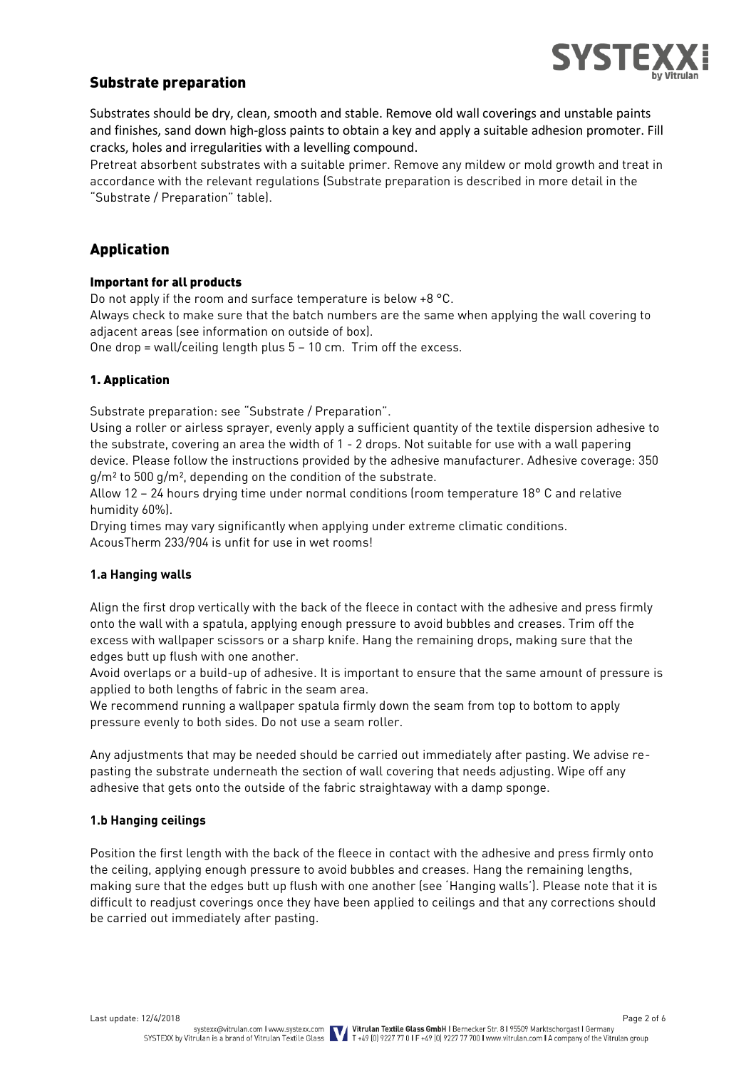

## Substrate preparation

Substrates should be dry, clean, smooth and stable. Remove old wall coverings and unstable paints and finishes, sand down high-gloss paints to obtain a key and apply a suitable adhesion promoter. Fill cracks, holes and irregularities with a levelling compound.

Pretreat absorbent substrates with a suitable primer. Remove any mildew or mold growth and treat in accordance with the relevant regulations (Substrate preparation is described in more detail in the "Substrate / Preparation" table).

# Application

#### Important for all products

Do not apply if the room and surface temperature is below +8 °C.

Always check to make sure that the batch numbers are the same when applying the wall covering to adjacent areas (see information on outside of box).

One drop = wall/ceiling length plus 5 – 10 cm. Trim off the excess.

#### 1. Application

Substrate preparation: see "Substrate / Preparation".

Using a roller or airless sprayer, evenly apply a sufficient quantity of the textile dispersion adhesive to the substrate, covering an area the width of 1 - 2 drops. Not suitable for use with a wall papering device. Please follow the instructions provided by the adhesive manufacturer. Adhesive coverage: 350 g/m² to 500 g/m², depending on the condition of the substrate.

Allow 12 – 24 hours drying time under normal conditions (room temperature 18° C and relative humidity 60%).

Drying times may vary significantly when applying under extreme climatic conditions. AcousTherm 233/904 is unfit for use in wet rooms!

#### **1.a Hanging walls**

Align the first drop vertically with the back of the fleece in contact with the adhesive and press firmly onto the wall with a spatula, applying enough pressure to avoid bubbles and creases. Trim off the excess with wallpaper scissors or a sharp knife. Hang the remaining drops, making sure that the edges butt up flush with one another.

Avoid overlaps or a build-up of adhesive. It is important to ensure that the same amount of pressure is applied to both lengths of fabric in the seam area.

We recommend running a wallpaper spatula firmly down the seam from top to bottom to apply pressure evenly to both sides. Do not use a seam roller.

Any adjustments that may be needed should be carried out immediately after pasting. We advise repasting the substrate underneath the section of wall covering that needs adjusting. Wipe off any adhesive that gets onto the outside of the fabric straightaway with a damp sponge.

#### **1.b Hanging ceilings**

Position the first length with the back of the fleece in contact with the adhesive and press firmly onto the ceiling, applying enough pressure to avoid bubbles and creases. Hang the remaining lengths, making sure that the edges butt up flush with one another (see 'Hanging walls'). Please note that it is difficult to readjust coverings once they have been applied to ceilings and that any corrections should be carried out immediately after pasting.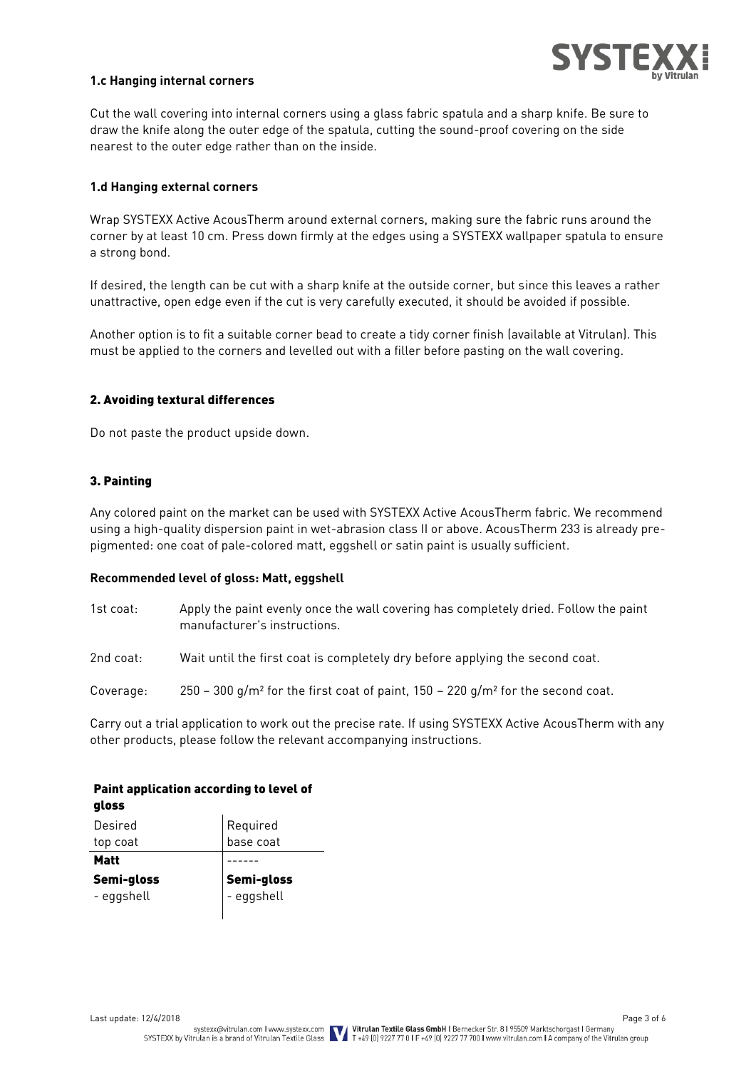

#### **1.c Hanging internal corners**

Cut the wall covering into internal corners using a glass fabric spatula and a sharp knife. Be sure to draw the knife along the outer edge of the spatula, cutting the sound-proof covering on the side nearest to the outer edge rather than on the inside.

#### **1.d Hanging external corners**

Wrap SYSTEXX Active AcousTherm around external corners, making sure the fabric runs around the corner by at least 10 cm. Press down firmly at the edges using a SYSTEXX wallpaper spatula to ensure a strong bond.

If desired, the length can be cut with a sharp knife at the outside corner, but since this leaves a rather unattractive, open edge even if the cut is very carefully executed, it should be avoided if possible.

Another option is to fit a suitable corner bead to create a tidy corner finish (available at Vitrulan). This must be applied to the corners and levelled out with a filler before pasting on the wall covering.

#### 2. Avoiding textural differences

Do not paste the product upside down.

#### 3. Painting

Any colored paint on the market can be used with SYSTEXX Active AcousTherm fabric. We recommend using a high-quality dispersion paint in wet-abrasion class II or above. AcousTherm 233 is already prepigmented: one coat of pale-colored matt, eggshell or satin paint is usually sufficient.

#### **Recommended level of gloss: Matt, eggshell**

| 1st coat: | Apply the paint evenly once the wall covering has completely dried. Follow the paint<br>manufacturer's instructions. |
|-----------|----------------------------------------------------------------------------------------------------------------------|
| 2nd coat: | Wait until the first coat is completely dry before applying the second coat.                                         |
| Coverage: | 250 – 300 g/m <sup>2</sup> for the first coat of paint, $150 - 220$ g/m <sup>2</sup> for the second coat.            |

Carry out a trial application to work out the precise rate. If using SYSTEXX Active AcousTherm with any other products, please follow the relevant accompanying instructions.

#### Paint application according to level of gloss

| Desired     | Required<br>base coat |
|-------------|-----------------------|
| top coat    |                       |
| <b>Matt</b> |                       |
| Semi-gloss  | Semi-gloss            |
| - eggshell  | - eggshell            |
|             |                       |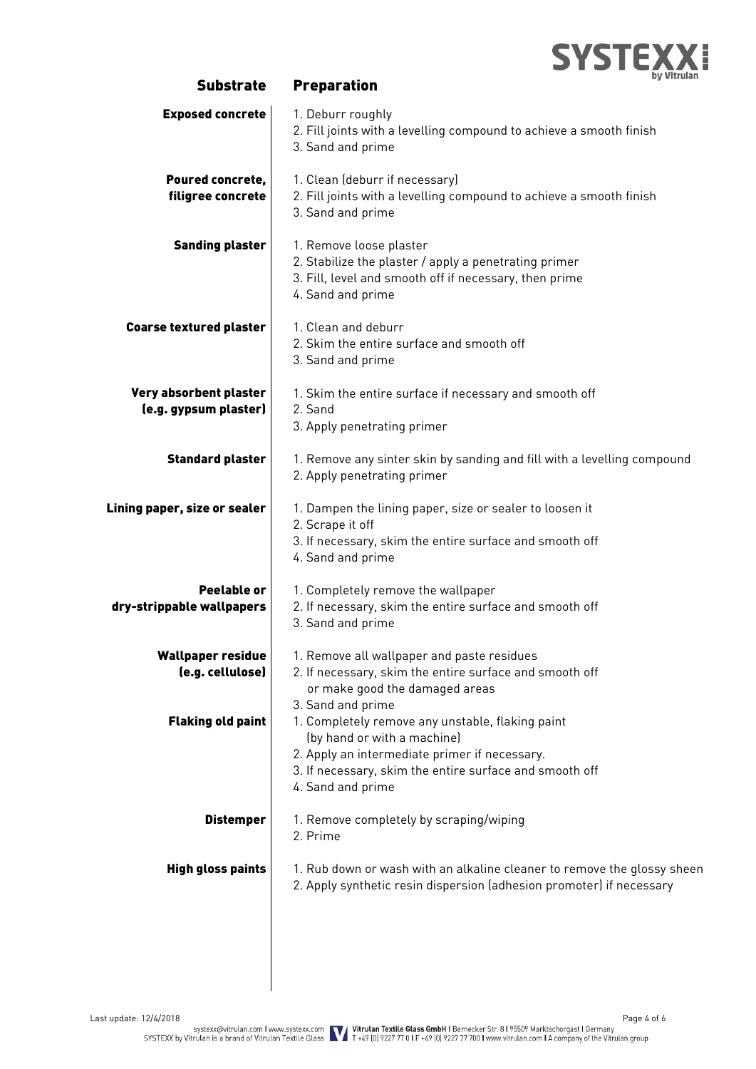

| <b>Exposed concrete</b><br>1. Deburr roughly<br>2. Fill joints with a levelling compound to achieve a smooth finish<br>3. Sand and prime<br>1. Clean (deburr if necessary)<br>Poured concrete,<br>2. Fill joints with a levelling compound to achieve a smooth finish<br>filigree concrete<br>3. Sand and prime<br><b>Sanding plaster</b><br>1. Remove loose plaster<br>2. Stabilize the plaster / apply a penetrating primer<br>3. Fill, level and smooth off if necessary, then prime<br>4. Sand and prime<br>1. Clean and deburr<br><b>Coarse textured plaster</b><br>2. Skim the entire surface and smooth off<br>3. Sand and prime<br>Very absorbent plaster<br>1. Skim the entire surface if necessary and smooth off<br>(e.g. gypsum plaster)<br>2. Sand<br>3. Apply penetrating primer<br><b>Standard plaster</b><br>1. Remove any sinter skin by sanding and fill with a levelling compound<br>2. Apply penetrating primer<br>Lining paper, size or sealer<br>1. Dampen the lining paper, size or sealer to loosen it<br>2. Scrape it off<br>3. If necessary, skim the entire surface and smooth off<br>4. Sand and prime<br>Peelable or<br>1. Completely remove the wallpaper<br>2. If necessary, skim the entire surface and smooth off<br>dry-strippable wallpapers<br>3. Sand and prime<br><b>Wallpaper residue</b><br>1. Remove all wallpaper and paste residues<br>(e.g. cellulose)<br>2. If necessary, skim the entire surface and smooth off<br>or make good the damaged areas<br>3. Sand and prime<br><b>Flaking old paint</b><br>1. Completely remove any unstable, flaking paint<br>(by hand or with a machine)<br>2. Apply an intermediate primer if necessary.<br>3. If necessary, skim the entire surface and smooth off<br>4. Sand and prime<br><b>Distemper</b><br>1. Remove completely by scraping/wiping<br>2. Prime<br><b>High gloss paints</b><br>1. Rub down or wash with an alkaline cleaner to remove the glossy sheen<br>2. Apply synthetic resin dispersion (adhesion promoter) if necessary | <b>Substrate</b> | uy vititilall<br><b>Preparation</b> |
|--------------------------------------------------------------------------------------------------------------------------------------------------------------------------------------------------------------------------------------------------------------------------------------------------------------------------------------------------------------------------------------------------------------------------------------------------------------------------------------------------------------------------------------------------------------------------------------------------------------------------------------------------------------------------------------------------------------------------------------------------------------------------------------------------------------------------------------------------------------------------------------------------------------------------------------------------------------------------------------------------------------------------------------------------------------------------------------------------------------------------------------------------------------------------------------------------------------------------------------------------------------------------------------------------------------------------------------------------------------------------------------------------------------------------------------------------------------------------------------------------------------------------------------------------------------------------------------------------------------------------------------------------------------------------------------------------------------------------------------------------------------------------------------------------------------------------------------------------------------------------------------------------------------------------------------------------------------------------------------------------------------------------------|------------------|-------------------------------------|
|                                                                                                                                                                                                                                                                                                                                                                                                                                                                                                                                                                                                                                                                                                                                                                                                                                                                                                                                                                                                                                                                                                                                                                                                                                                                                                                                                                                                                                                                                                                                                                                                                                                                                                                                                                                                                                                                                                                                                                                                                                |                  |                                     |
|                                                                                                                                                                                                                                                                                                                                                                                                                                                                                                                                                                                                                                                                                                                                                                                                                                                                                                                                                                                                                                                                                                                                                                                                                                                                                                                                                                                                                                                                                                                                                                                                                                                                                                                                                                                                                                                                                                                                                                                                                                |                  |                                     |
|                                                                                                                                                                                                                                                                                                                                                                                                                                                                                                                                                                                                                                                                                                                                                                                                                                                                                                                                                                                                                                                                                                                                                                                                                                                                                                                                                                                                                                                                                                                                                                                                                                                                                                                                                                                                                                                                                                                                                                                                                                |                  |                                     |
|                                                                                                                                                                                                                                                                                                                                                                                                                                                                                                                                                                                                                                                                                                                                                                                                                                                                                                                                                                                                                                                                                                                                                                                                                                                                                                                                                                                                                                                                                                                                                                                                                                                                                                                                                                                                                                                                                                                                                                                                                                |                  |                                     |
|                                                                                                                                                                                                                                                                                                                                                                                                                                                                                                                                                                                                                                                                                                                                                                                                                                                                                                                                                                                                                                                                                                                                                                                                                                                                                                                                                                                                                                                                                                                                                                                                                                                                                                                                                                                                                                                                                                                                                                                                                                |                  |                                     |
|                                                                                                                                                                                                                                                                                                                                                                                                                                                                                                                                                                                                                                                                                                                                                                                                                                                                                                                                                                                                                                                                                                                                                                                                                                                                                                                                                                                                                                                                                                                                                                                                                                                                                                                                                                                                                                                                                                                                                                                                                                |                  |                                     |
|                                                                                                                                                                                                                                                                                                                                                                                                                                                                                                                                                                                                                                                                                                                                                                                                                                                                                                                                                                                                                                                                                                                                                                                                                                                                                                                                                                                                                                                                                                                                                                                                                                                                                                                                                                                                                                                                                                                                                                                                                                |                  |                                     |
|                                                                                                                                                                                                                                                                                                                                                                                                                                                                                                                                                                                                                                                                                                                                                                                                                                                                                                                                                                                                                                                                                                                                                                                                                                                                                                                                                                                                                                                                                                                                                                                                                                                                                                                                                                                                                                                                                                                                                                                                                                |                  |                                     |
|                                                                                                                                                                                                                                                                                                                                                                                                                                                                                                                                                                                                                                                                                                                                                                                                                                                                                                                                                                                                                                                                                                                                                                                                                                                                                                                                                                                                                                                                                                                                                                                                                                                                                                                                                                                                                                                                                                                                                                                                                                |                  |                                     |
|                                                                                                                                                                                                                                                                                                                                                                                                                                                                                                                                                                                                                                                                                                                                                                                                                                                                                                                                                                                                                                                                                                                                                                                                                                                                                                                                                                                                                                                                                                                                                                                                                                                                                                                                                                                                                                                                                                                                                                                                                                |                  |                                     |
|                                                                                                                                                                                                                                                                                                                                                                                                                                                                                                                                                                                                                                                                                                                                                                                                                                                                                                                                                                                                                                                                                                                                                                                                                                                                                                                                                                                                                                                                                                                                                                                                                                                                                                                                                                                                                                                                                                                                                                                                                                |                  |                                     |
|                                                                                                                                                                                                                                                                                                                                                                                                                                                                                                                                                                                                                                                                                                                                                                                                                                                                                                                                                                                                                                                                                                                                                                                                                                                                                                                                                                                                                                                                                                                                                                                                                                                                                                                                                                                                                                                                                                                                                                                                                                |                  |                                     |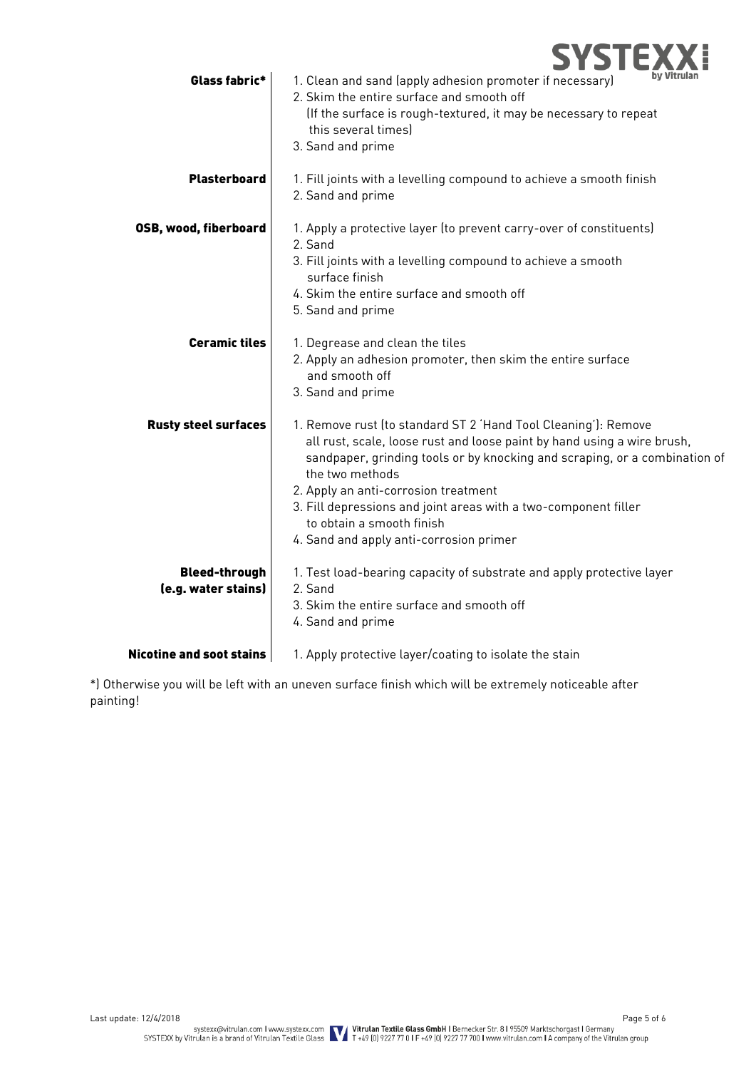

| Glass fabric*                               | by Vitrulan<br>1. Clean and sand (apply adhesion promoter if necessary)<br>2. Skim the entire surface and smooth off<br>(If the surface is rough-textured, it may be necessary to repeat<br>this several times)                                                                                                                                                                                                               |
|---------------------------------------------|-------------------------------------------------------------------------------------------------------------------------------------------------------------------------------------------------------------------------------------------------------------------------------------------------------------------------------------------------------------------------------------------------------------------------------|
|                                             | 3. Sand and prime                                                                                                                                                                                                                                                                                                                                                                                                             |
| <b>Plasterboard</b>                         | 1. Fill joints with a levelling compound to achieve a smooth finish<br>2. Sand and prime                                                                                                                                                                                                                                                                                                                                      |
| <b>OSB, wood, fiberboard</b>                | 1. Apply a protective layer (to prevent carry-over of constituents)<br>2. Sand<br>3. Fill joints with a levelling compound to achieve a smooth<br>surface finish<br>4. Skim the entire surface and smooth off<br>5. Sand and prime                                                                                                                                                                                            |
| <b>Ceramic tiles</b>                        | 1. Degrease and clean the tiles<br>2. Apply an adhesion promoter, then skim the entire surface<br>and smooth off<br>3. Sand and prime                                                                                                                                                                                                                                                                                         |
| <b>Rusty steel surfaces</b>                 | 1. Remove rust (to standard ST 2 'Hand Tool Cleaning'): Remove<br>all rust, scale, loose rust and loose paint by hand using a wire brush,<br>sandpaper, grinding tools or by knocking and scraping, or a combination of<br>the two methods<br>2. Apply an anti-corrosion treatment<br>3. Fill depressions and joint areas with a two-component filler<br>to obtain a smooth finish<br>4. Sand and apply anti-corrosion primer |
| <b>Bleed-through</b><br>(e.g. water stains) | 1. Test load-bearing capacity of substrate and apply protective layer<br>2. Sand<br>3. Skim the entire surface and smooth off<br>4. Sand and prime                                                                                                                                                                                                                                                                            |
| <b>Nicotine and soot stains</b>             | 1. Apply protective layer/coating to isolate the stain                                                                                                                                                                                                                                                                                                                                                                        |

\*) Otherwise you will be left with an uneven surface finish which will be extremely noticeable after painting!